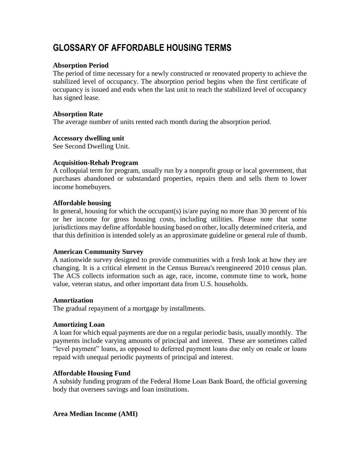# **GLOSSARY OF AFFORDABLE HOUSING TERMS**

# **Absorption Period**

The period of time necessary for a newly constructed or renovated property to achieve the stabilized level of occupancy. The absorption period begins when the first certificate of occupancy is issued and ends when the last unit to reach the stabilized level of occupancy has signed lease.

# **Absorption Rate**

The average number of units rented each month during the absorption period.

# **Accessory dwelling unit**

See Second Dwelling Unit.

# **Acquisition-Rehab Program**

A colloquial term for program, usually run by a nonprofit group or local government, that purchases abandoned or substandard properties, repairs them and sells them to lower income homebuyers.

# **Affordable housing**

In general, housing for which the occupant(s) is/are paying no more than 30 percent of his or her income for gross housing costs, including utilities. Please note that some jurisdictions may define affordable housing based on other, locally determined criteria, and that this definition is intended solely as an approximate guideline or general rule of thumb.

# **American Community Survey**

A nationwide survey designed to provide communities with a fresh look at how they are changing. It is a critical element in the Census [Bureau's](https://www.huduser.gov/portal/glossary/glossary_all.html#cb) reengineered 2010 census plan. The ACS collects information such as age, race, income, commute time to work, home value, veteran status, and other important data from U.S. households.

# **Amortization**

The gradual repayment of a mortgage by installments.

# **Amortizing Loan**

A loan for which equal payments are due on a regular periodic basis, usually monthly. The payments include varying amounts of principal and interest. These are sometimes called "level payment" loans, as opposed to deferred payment loans due only on resale or loans repaid with unequal periodic payments of principal and interest.

# **Affordable Housing Fund**

A subsidy funding program of the Federal Home Loan Bank Board, the official governing body that oversees savings and loan institutions.

# **Area Median Income (AMI)**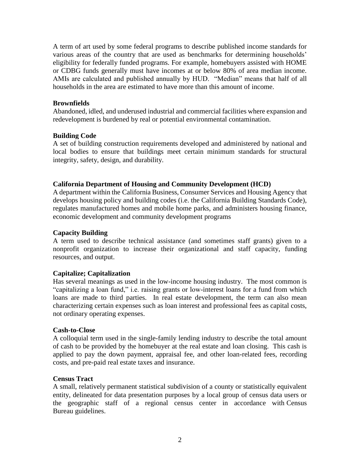A term of art used by some federal programs to describe published income standards for various areas of the country that are used as benchmarks for determining households' eligibility for federally funded programs. For example, homebuyers assisted with HOME or CDBG funds generally must have incomes at or below 80% of area median income. AMIs are calculated and published annually by HUD. "Median" means that half of all households in the area are estimated to have more than this amount of income.

### **Brownfields**

Abandoned, idled, and underused industrial and commercial facilities where expansion and redevelopment is burdened by real or potential environmental contamination.

### **Building Code**

A set of building construction requirements developed and administered by national and local bodies to ensure that buildings meet certain minimum standards for structural integrity, safety, design, and durability.

### **California Department of Housing and Community Development (HCD)**

A department within the [California Business, Consumer Services and Housing Agency](https://en.wikipedia.org/wiki/California_Business,_Consumer_Services_and_Housing_Agency) that develops housing policy and building codes (i.e. the [California Building Standards Code\)](https://en.wikipedia.org/wiki/California_Building_Standards_Code), regulates manufactured homes and mobile home parks, and administers housing finance, economic development and community development programs

#### **Capacity Building**

A term used to describe technical assistance (and sometimes staff grants) given to a nonprofit organization to increase their organizational and staff capacity, funding resources, and output.

#### **Capitalize; Capitalization**

Has several meanings as used in the low-income housing industry. The most common is "capitalizing a loan fund," i.e. raising grants or low-interest loans for a fund from which loans are made to third parties. In real estate development, the term can also mean characterizing certain expenses such as loan interest and professional fees as capital costs, not ordinary operating expenses.

#### **Cash-to-Close**

A colloquial term used in the single-family lending industry to describe the total amount of cash to be provided by the homebuyer at the real estate and loan closing. This cash is applied to pay the down payment, appraisal fee, and other loan-related fees, recording costs, and pre-paid real estate taxes and insurance.

#### **Census Tract**

A small, relatively permanent statistical subdivision of a county or statistically equivalent entity, delineated for data presentation purposes by a local group of census data users or the geographic staff of a regional census center in accordance with [Census](https://www.huduser.gov/portal/glossary/glossary_u.html#cb) [Bureau](https://www.huduser.gov/portal/glossary/glossary_u.html#cb) guidelines.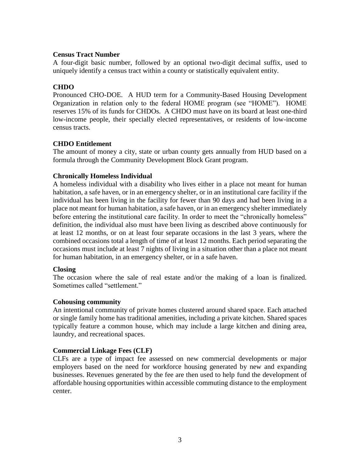# **Census Tract Number**

A four-digit basic number, followed by an optional two-digit decimal suffix, used to uniquely identify a [census](https://www.huduser.gov/portal/glossary/glossary_all.html#ctn) tract within a county or statistically equivalent entity.

# **CHDO**

Pronounced CHO-DOE. A HUD term for a Community-Based Housing Development Organization in relation only to the federal HOME program (see "HOME"). HOME reserves 15% of its funds for CHDOs. A CHDO must have on its board at least one-third low-income people, their specially elected representatives, or residents of low-income census tracts.

# **CHDO Entitlement**

The amount of money a city, state or urban county gets annually from HUD based on a formula through the Community Development Block Grant program.

# **Chronically Homeless Individual**

A homeless individual with a disability who lives either in a place not meant for human habitation, a safe haven, or in an emergency shelter, or in an institutional care facility if the individual has been living in the facility for fewer than 90 days and had been living in a place not meant for human habitation, a safe haven, or in an emergency shelter immediately before entering the institutional care facility. In order to meet the "chronically homeless" definition, the individual also must have been living as described above continuously for at least 12 months, or on at least four separate occasions in the last 3 years, where the combined occasions total a length of time of at least 12 months. Each period separating the occasions must include at least 7 nights of living in a situation other than a place not meant for human habitation, in an emergency shelter, or in a safe haven.

# **Closing**

The occasion where the sale of real estate and/or the making of a loan is finalized. Sometimes called "settlement."

# **Cohousing community**

An intentional community of private homes clustered around shared space. Each attached or single family home has traditional amenities, including a private kitchen. Shared spaces typically feature a common house, which may include a large kitchen and dining area, laundry, and recreational spaces.

# **Commercial Linkage Fees (CLF)**

CLFs are a type of impact fee assessed on new commercial developments or major employers based on the need for workforce housing generated by new and expanding businesses. Revenues generated by the fee are then used to help fund the development of affordable housing opportunities within accessible commuting distance to the employment center.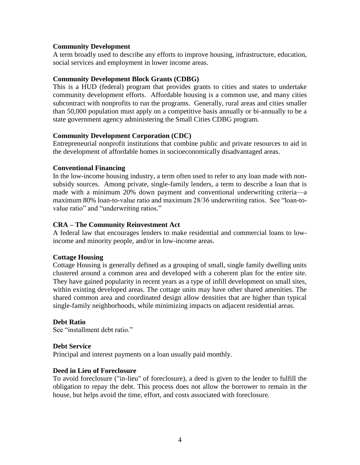# **Community Development**

A term broadly used to describe any efforts to improve housing, infrastructure, education, social services and employment in lower income areas.

# **Community Development Block Grants (CDBG)**

This is a HUD (federal) program that provides grants to cities and states to undertake community development efforts. Affordable housing is a common use, and many cities subcontract with nonprofits to run the programs. Generally, rural areas and cities smaller than 50,000 population must apply on a competitive basis annually or bi-annually to be a state government agency administering the Small Cities CDBG program.

# **Community Development Corporation (CDC)**

Entrepreneurial nonprofit institutions that combine public and private resources to aid in the development of affordable homes in socioeconomically disadvantaged areas.

# **Conventional Financing**

In the low-income housing industry, a term often used to refer to any loan made with nonsubsidy sources. Among private, single-family lenders, a term to describe a loan that is made with a minimum 20% down payment and conventional underwriting criteria—a maximum 80% loan-to-value ratio and maximum 28/36 underwriting ratios. See "loan-tovalue ratio" and "underwriting ratios."

# **CRA – The Community Reinvestment Act**

A federal law that encourages lenders to make residential and commercial loans to lowincome and minority people, and/or in low-income areas.

# **Cottage Housing**

Cottage Housing is generally defined as a grouping of small, single family dwelling units clustered around a common area and developed with a coherent plan for the entire site. They have gained popularity in recent years as a type of infill development on small sites, within existing developed areas. The cottage units may have other shared amenities. The shared common area and coordinated design allow densities that are higher than typical single-family neighborhoods, while minimizing impacts on adjacent residential areas.

# **Debt Ratio**

See "installment debt ratio."

# **Debt Service**

Principal and interest payments on a loan usually paid monthly.

# **Deed in Lieu of Foreclosure**

To avoid foreclosure ("in-lieu" of foreclosure), a deed is given to the lender to fulfill the obligation to repay the debt. This process does not allow the borrower to remain in the house, but helps avoid the time, effort, and costs associated with foreclosure.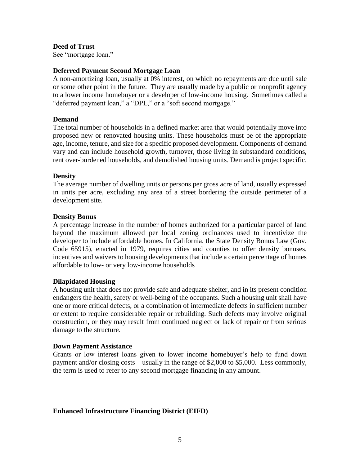**Deed of Trust**

See "mortgage loan."

# **Deferred Payment Second Mortgage Loan**

A non-amortizing loan, usually at 0% interest, on which no repayments are due until sale or some other point in the future. They are usually made by a public or nonprofit agency to a lower income homebuyer or a developer of low-income housing. Sometimes called a "deferred payment loan," a "DPL," or a "soft second mortgage."

### **Demand**

The total number of households in a defined market area that would potentially move into proposed new or renovated housing units. These households must be of the appropriate age, income, tenure, and size for a specific proposed development. Components of demand vary and can include household growth, turnover, those living in substandard conditions, rent over-burdened households, and demolished housing units. Demand is project specific.

### **Density**

The average number of dwelling units or persons per gross acre of land, usually expressed in units per acre, excluding any area of a street bordering the outside perimeter of a development site.

### **Density Bonus**

A percentage increase in the number of homes authorized for a particular parcel of land beyond the maximum allowed per local zoning ordinances used to incentivize the developer to include affordable homes. In California, the State Density Bonus Law (Gov. Code 65915), enacted in 1979, requires cities and counties to offer density bonuses, incentives and waivers to housing developments that include a certain percentage of homes affordable to low- or very low-income households

# **Dilapidated Housing**

A housing unit that does not provide safe and adequate shelter, and in its present condition endangers the health, safety or well-being of the occupants. Such a housing unit shall have one or more critical defects, or a combination of intermediate defects in sufficient number or extent to require considerable repair or rebuilding. Such defects may involve original construction, or they may result from continued neglect or lack of repair or from serious damage to the structure.

#### **Down Payment Assistance**

Grants or low interest loans given to lower income homebuyer's help to fund down payment and/or closing costs—usually in the range of \$2,000 to \$5,000. Less commonly, the term is used to refer to any second mortgage financing in any amount.

# **Enhanced Infrastructure Financing District (EIFD)**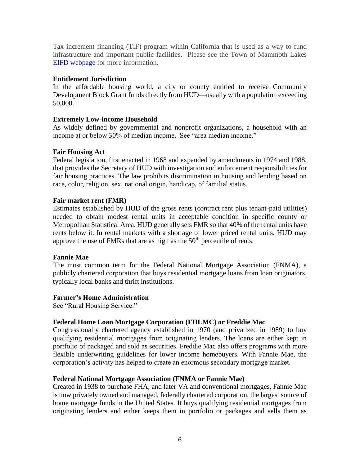Tax increment financing (TIF) program within California that is used as a way to fund infrastructure and important public facilities. Please see the Town of Mammoth Lakes [EIFD webpage](https://www.townofmammothlakes.ca.gov/621/Enhanced-Infrastructure-Financing-Dist-E) for more information.

# **Entitlement Jurisdiction**

In the affordable housing world, a city or county entitled to receive Community Development Block Grant funds directly from HUD—usually with a population exceeding 50,000.

# **Extremely Low-income Household**

As widely defined by governmental and nonprofit organizations, a household with an income at or below 30% of median income. See "area median income."

# **Fair Housing Act**

Federal legislation, first enacted in 1968 and expanded by amendments in 1974 and 1988, that provides the Secretary of HUD with investigation and enforcement responsibilities for fair housing practices. The law prohibits discrimination in housing and lending based on race, color, religion, sex, national origin, handicap, of familial status.

### **Fair market rent (FMR)**

Estimates established by HUD of the gross rents (contract rent plus tenant-paid utilities) needed to obtain modest rental units in acceptable condition in specific county or Metropolitan Statistical Area. HUD generally sets FMR so that 40% of the rental units have rents below it. In rental markets with a shortage of lower priced rental units, HUD may approve the use of FMRs that are as high as the  $50<sup>th</sup>$  percentile of rents.

#### **Fannie Mae**

The most common term for the Federal National Mortgage Association (FNMA), a publicly chartered corporation that buys residential mortgage loans from loan originators, typically local banks and thrift institutions.

#### **Farmer's Home Administration**

See "Rural Housing Service."

# **Federal Home Loan Mortgage Corporation (FHLMC) or Freddie Mac**

Congressionally chartered agency established in 1970 (and privatized in 1989) to buy qualifying residential mortgages from originating lenders. The loans are either kept in portfolio of packaged and sold as securities. Freddie Mac also offers programs with more flexible underwriting guidelines for lower income homebuyers. With Fannie Mae, the corporation's activity has helped to create an enormous secondary mortgage market.

#### **Federal National Mortgage Association (FNMA or Fannie Mae)**

Created in 1938 to purchase FHA, and later VA and conventional mortgages, Fannie Mae is now privately owned and managed, federally chartered corporation, the largest source of home mortgage funds in the United States. It buys qualifying residential mortgages from originating lenders and either keeps them in portfolio or packages and sells them as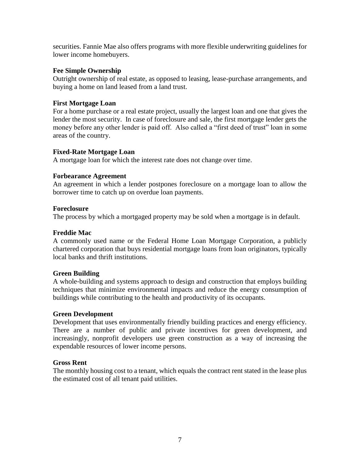securities. Fannie Mae also offers programs with more flexible underwriting guidelines for lower income homebuyers.

# **Fee Simple Ownership**

Outright ownership of real estate, as opposed to leasing, lease-purchase arrangements, and buying a home on land leased from a land trust.

# **First Mortgage Loan**

For a home purchase or a real estate project, usually the largest loan and one that gives the lender the most security. In case of foreclosure and sale, the first mortgage lender gets the money before any other lender is paid off. Also called a "first deed of trust" loan in some areas of the country.

# **Fixed-Rate Mortgage Loan**

A mortgage loan for which the interest rate does not change over time.

# **Forbearance Agreement**

An agreement in which a lender postpones foreclosure on a mortgage loan to allow the borrower time to catch up on overdue loan payments.

# **Foreclosure**

The process by which a mortgaged property may be sold when a mortgage is in default.

# **Freddie Mac**

A commonly used name or the Federal Home Loan Mortgage Corporation, a publicly chartered corporation that buys residential mortgage loans from loan originators, typically local banks and thrift institutions.

# **Green Building**

A whole‐building and systems approach to design and construction that employs building techniques that minimize environmental impacts and reduce the energy consumption of buildings while contributing to the health and productivity of its occupants.

# **Green Development**

Development that uses environmentally friendly building practices and energy efficiency. There are a number of public and private incentives for green development, and increasingly, nonprofit developers use green construction as a way of increasing the expendable resources of lower income persons.

# **Gross Rent**

The monthly housing cost to a tenant, which equals the contract rent stated in the lease plus the estimated cost of all tenant paid utilities.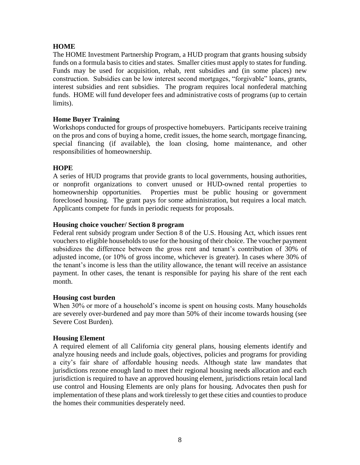# **HOME**

The HOME Investment Partnership Program, a HUD program that grants housing subsidy funds on a formula basis to cities and states. Smaller cities must apply to states for funding. Funds may be used for acquisition, rehab, rent subsidies and (in some places) new construction. Subsidies can be low interest second mortgages, "forgivable" loans, grants, interest subsidies and rent subsidies. The program requires local nonfederal matching funds. HOME will fund developer fees and administrative costs of programs (up to certain limits).

# **Home Buyer Training**

Workshops conducted for groups of prospective homebuyers. Participants receive training on the pros and cons of buying a home, credit issues, the home search, mortgage financing, special financing (if available), the loan closing, home maintenance, and other responsibilities of homeownership.

# **HOPE**

A series of HUD programs that provide grants to local governments, housing authorities, or nonprofit organizations to convert unused or HUD-owned rental properties to homeownership opportunities. Properties must be public housing or government foreclosed housing. The grant pays for some administration, but requires a local match. Applicants compete for funds in periodic requests for proposals.

# **Housing choice voucher/ Section 8 program**

Federal rent subsidy program under Section 8 of the U.S. Housing Act, which issues rent vouchers to eligible households to use for the housing of their choice. The voucher payment subsidizes the difference between the gross rent and tenant's contribution of 30% of adjusted income, (or 10% of gross income, whichever is greater). In cases where 30% of the tenant's income is less than the utility allowance, the tenant will receive an assistance payment. In other cases, the tenant is responsible for paying his share of the rent each month.

# **Housing cost burden**

When 30% or more of a household's income is spent on housing costs. Many households are severely over-burdened and pay more than 50% of their income towards housing (see Severe Cost Burden).

# **Housing Element**

A required element of all California city general plans, housing elements identify and analyze housing needs and include goals, objectives, policies and programs for providing a city's fair share of affordable housing needs. Although state law mandates that jurisdictions rezone enough land to meet their regional housing needs allocation and each jurisdiction is required to have an approved housing element, jurisdictions retain local land use control and Housing Elements are only plans for housing. Advocates then push for implementation of these plans and work tirelessly to get these cities and counties to produce the homes their communities desperately need.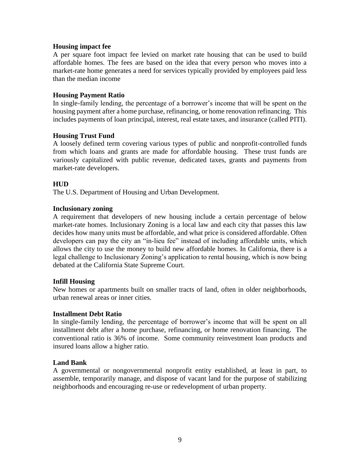### **Housing impact fee**

A per square foot impact fee levied on market rate housing that can be used to build affordable homes. The fees are based on the idea that every person who moves into a market-rate home generates a need for services typically provided by employees paid less than the median income

### **Housing Payment Ratio**

In single-family lending, the percentage of a borrower's income that will be spent on the housing payment after a home purchase, refinancing, or home renovation refinancing. This includes payments of loan principal, interest, real estate taxes, and insurance (called PITI).

### **Housing Trust Fund**

A loosely defined term covering various types of public and nonprofit-controlled funds from which loans and grants are made for affordable housing. These trust funds are variously capitalized with public revenue, dedicated taxes, grants and payments from market-rate developers.

# **HUD**

The U.S. Department of Housing and Urban Development.

### **Inclusionary zoning**

A requirement that developers of new housing include a certain percentage of below market-rate homes. Inclusionary Zoning is a local law and each city that passes this law decides how many units must be affordable, and what price is considered affordable. Often developers can pay the city an "in-lieu fee" instead of including affordable units, which allows the city to use the money to build new affordable homes. In California, there is a legal challenge to Inclusionary Zoning's application to rental housing, which is now being debated at the California State Supreme Court.

#### **Infill Housing**

New homes or apartments built on smaller tracts of land, often in older neighborhoods, urban renewal areas or inner cities.

#### **Installment Debt Ratio**

In single-family lending, the percentage of borrower's income that will be spent on all installment debt after a home purchase, refinancing, or home renovation financing. The conventional ratio is 36% of income. Some community reinvestment loan products and insured loans allow a higher ratio.

#### **Land Bank**

A governmental or nongovernmental nonprofit entity established, at least in part, to assemble, temporarily manage, and dispose of vacant land for the purpose of stabilizing neighborhoods and encouraging re-use or redevelopment of urban property.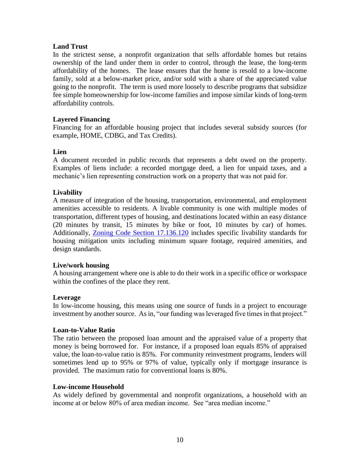# **Land Trust**

In the strictest sense, a nonprofit organization that sells affordable homes but retains ownership of the land under them in order to control, through the lease, the long-term affordability of the homes. The lease ensures that the home is resold to a low-income family, sold at a below-market price, and/or sold with a share of the appreciated value going to the nonprofit. The term is used more loosely to describe programs that subsidize fee simple homeownership for low-income families and impose similar kinds of long-term affordability controls.

# **Layered Financing**

Financing for an affordable housing project that includes several subsidy sources (for example, HOME, CDBG, and Tax Credits).

# **Lien**

A document recorded in public records that represents a debt owed on the property. Examples of liens include: a recorded mortgage deed, a lien for unpaid taxes, and a mechanic's lien representing construction work on a property that was not paid for.

# **Livability**

A measure of integration of the housing, transportation, environmental, and employment amenities accessible to residents. A livable community is one with multiple modes of transportation, different types of housing, and destinations located within an easy distance (20 minutes by transit, 15 minutes by bike or foot, 10 minutes by car) of homes. Additionally, [Zoning Code Section 17.136.120](https://library.municode.com/ca/mammoth_lakes_/codes/code_of_ordinances?nodeId=TIT17ZO_ARTVIAFWOHO_CH17.136HO_17.136.120LIST) includes specific livability standards for housing mitigation units including minimum square footage, required amenities, and design standards.

# **Live/work housing**

A housing arrangement where one is able to do their work in a specific office or workspace within the confines of the place they rent.

# **Leverage**

In low-income housing, this means using one source of funds in a project to encourage investment by another source. As in, "our funding was leveraged five times in that project."

# **Loan-to-Value Ratio**

The ratio between the proposed loan amount and the appraised value of a property that money is being borrowed for. For instance, if a proposed loan equals 85% of appraised value, the loan-to-value ratio is 85%. For community reinvestment programs, lenders will sometimes lend up to 95% or 97% of value, typically only if mortgage insurance is provided. The maximum ratio for conventional loans is 80%.

# **Low-income Household**

As widely defined by governmental and nonprofit organizations, a household with an income at or below 80% of area median income. See "area median income."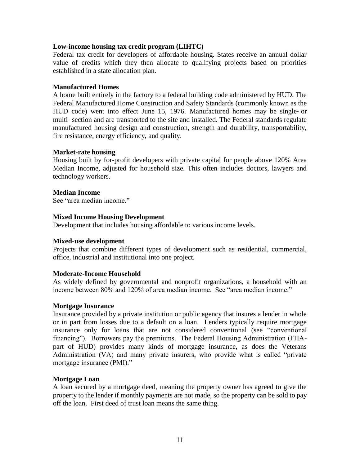# **Low-income housing tax credit program (LIHTC)**

Federal tax credit for developers of affordable housing. States receive an annual dollar value of credits which they then allocate to qualifying projects based on priorities established in a state allocation plan.

# **Manufactured Homes**

A home built entirely in the factory to a federal building code administered by HUD. The Federal Manufactured Home Construction and Safety Standards (commonly known as the HUD code) went into effect June 15, 1976. Manufactured homes may be single‐ or multi‐ section and are transported to the site and installed. The Federal standards regulate manufactured housing design and construction, strength and durability, transportability, fire resistance, energy efficiency, and quality.

### **Market-rate housing**

Housing built by for-profit developers with private capital for people above 120% Area Median Income, adjusted for household size. This often includes doctors, lawyers and technology workers.

### **Median Income**

See "area median income."

### **Mixed Income Housing Development**

Development that includes housing affordable to various income levels.

#### **Mixed-use development**

Projects that combine different types of development such as residential, commercial, office, industrial and institutional into one project.

#### **Moderate-Income Household**

As widely defined by governmental and nonprofit organizations, a household with an income between 80% and 120% of area median income. See "area median income."

#### **Mortgage Insurance**

Insurance provided by a private institution or public agency that insures a lender in whole or in part from losses due to a default on a loan. Lenders typically require mortgage insurance only for loans that are not considered conventional (see "conventional financing"). Borrowers pay the premiums. The Federal Housing Administration (FHApart of HUD) provides many kinds of mortgage insurance, as does the Veterans Administration (VA) and many private insurers, who provide what is called "private mortgage insurance (PMI)."

# **Mortgage Loan**

A loan secured by a mortgage deed, meaning the property owner has agreed to give the property to the lender if monthly payments are not made, so the property can be sold to pay off the loan. First deed of trust loan means the same thing.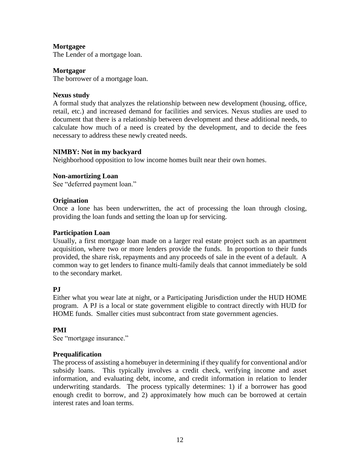# **Mortgagee**

The Lender of a mortgage loan.

# **Mortgagor**

The borrower of a mortgage loan.

# **Nexus study**

A formal study that analyzes the relationship between new development (housing, office, retail, etc.) and increased demand for facilities and services. Nexus studies are used to document that there is a relationship between development and these additional needs, to calculate how much of a need is created by the development, and to decide the fees necessary to address these newly created needs.

# **NIMBY: Not in my backyard**

Neighborhood opposition to low income homes built near their own homes.

### **Non-amortizing Loan**

See "deferred payment loan."

### **Origination**

Once a lone has been underwritten, the act of processing the loan through closing, providing the loan funds and setting the loan up for servicing.

#### **Participation Loan**

Usually, a first mortgage loan made on a larger real estate project such as an apartment acquisition, where two or more lenders provide the funds. In proportion to their funds provided, the share risk, repayments and any proceeds of sale in the event of a default. A common way to get lenders to finance multi-family deals that cannot immediately be sold to the secondary market.

# **PJ**

Either what you wear late at night, or a Participating Jurisdiction under the HUD HOME program. A PJ is a local or state government eligible to contract directly with HUD for HOME funds. Smaller cities must subcontract from state government agencies.

# **PMI**

See "mortgage insurance."

# **Prequalification**

The process of assisting a homebuyer in determining if they qualify for conventional and/or subsidy loans. This typically involves a credit check, verifying income and asset information, and evaluating debt, income, and credit information in relation to lender underwriting standards. The process typically determines: 1) if a borrower has good enough credit to borrow, and 2) approximately how much can be borrowed at certain interest rates and loan terms.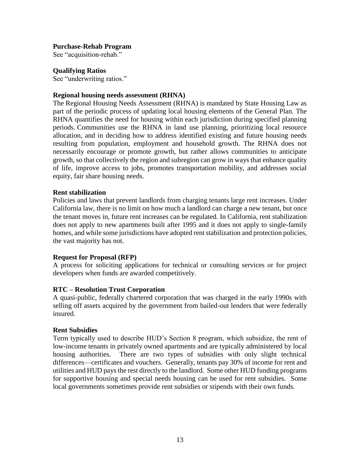### **Purchase-Rehab Program**

See "acquisition-rehab."

### **Qualifying Ratios**

See "underwriting ratios."

### **Regional housing needs assessment (RHNA)**

The Regional Housing Needs Assessment (RHNA) is mandated by State Housing Law as part of the periodic process of updating local housing elements of the General Plan. The RHNA quantifies the need for housing within each jurisdiction during specified planning periods. Communities use the RHNA in land use planning, prioritizing local resource allocation, and in deciding how to address identified existing and future housing needs resulting from population, employment and household growth. The RHNA does not necessarily encourage or promote growth, but rather allows communities to anticipate growth, so that collectively the region and subregion can grow in ways that enhance quality of life, improve access to jobs, promotes transportation mobility, and addresses social equity, fair share housing needs.

### **Rent stabilization**

Policies and laws that prevent landlords from charging tenants large rent increases. Under California law, there is no limit on how much a landlord can charge a new tenant, but once the tenant moves in, future rent increases can be regulated. In California, rent stabilization does not apply to new apartments built after 1995 and it does not apply to single-family homes, and while some jurisdictions have adopted rent stabilization and protection policies, the vast majority has not.

# **Request for Proposal (RFP)**

A process for soliciting applications for technical or consulting services or for project developers when funds are awarded competitively.

# **RTC – Resolution Trust Corporation**

A quasi-public, federally chartered corporation that was charged in the early 1990s with selling off assets acquired by the government from bailed-out lenders that were federally insured.

#### **Rent Subsidies**

Term typically used to describe HUD's Section 8 program, which subsidize, the rent of low-income tenants in privately owned apartments and are typically administered by local housing authorities. There are two types of subsidies with only slight technical differences—certificates and vouchers. Generally, tenants pay 30% of income for rent and utilities and HUD pays the rest directly to the landlord. Some other HUD funding programs for supportive housing and special needs housing can be used for rent subsidies. Some local governments sometimes provide rent subsidies or stipends with their own funds.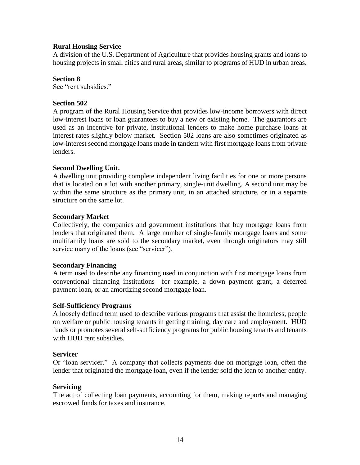# **Rural Housing Service**

A division of the U.S. Department of Agriculture that provides housing grants and loans to housing projects in small cities and rural areas, similar to programs of HUD in urban areas.

# **Section 8**

See "rent subsidies."

# **Section 502**

A program of the Rural Housing Service that provides low-income borrowers with direct low-interest loans or loan guarantees to buy a new or existing home. The guarantors are used as an incentive for private, institutional lenders to make home purchase loans at interest rates slightly below market. Section 502 loans are also sometimes originated as low-interest second mortgage loans made in tandem with first mortgage loans from private lenders.

# **Second Dwelling Unit.**

A dwelling unit providing complete independent living facilities for one or more persons that is located on a lot with another primary, single-unit dwelling. A second unit may be within the same structure as the primary unit, in an attached structure, or in a separate structure on the same lot.

# **Secondary Market**

Collectively, the companies and government institutions that buy mortgage loans from lenders that originated them. A large number of single-family mortgage loans and some multifamily loans are sold to the secondary market, even through originators may still service many of the loans (see "servicer").

# **Secondary Financing**

A term used to describe any financing used in conjunction with first mortgage loans from conventional financing institutions—for example, a down payment grant, a deferred payment loan, or an amortizing second mortgage loan.

# **Self-Sufficiency Programs**

A loosely defined term used to describe various programs that assist the homeless, people on welfare or public housing tenants in getting training, day care and employment. HUD funds or promotes several self-sufficiency programs for public housing tenants and tenants with HUD rent subsidies.

#### **Servicer**

Or "loan servicer." A company that collects payments due on mortgage loan, often the lender that originated the mortgage loan, even if the lender sold the loan to another entity.

#### **Servicing**

The act of collecting loan payments, accounting for them, making reports and managing escrowed funds for taxes and insurance.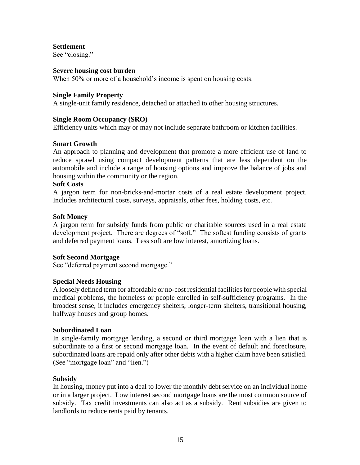**Settlement**

See "closing."

### **Severe housing cost burden**

When 50% or more of a household's income is spent on housing costs.

### **Single Family Property**

A single-unit family residence, detached or attached to other housing structures.

# **Single Room Occupancy (SRO)**

Efficiency units which may or may not include separate bathroom or kitchen facilities.

# **Smart Growth**

An approach to planning and development that promote a more efficient use of land to reduce sprawl using compact development patterns that are less dependent on the automobile and include a range of housing options and improve the balance of jobs and housing within the community or the region.

### **Soft Costs**

A jargon term for non-bricks-and-mortar costs of a real estate development project. Includes architectural costs, surveys, appraisals, other fees, holding costs, etc.

### **Soft Money**

A jargon term for subsidy funds from public or charitable sources used in a real estate development project. There are degrees of "soft." The softest funding consists of grants and deferred payment loans. Less soft are low interest, amortizing loans.

#### **Soft Second Mortgage**

See "deferred payment second mortgage."

# **Special Needs Housing**

A loosely defined term for affordable or no-cost residential facilities for people with special medical problems, the homeless or people enrolled in self-sufficiency programs. In the broadest sense, it includes emergency shelters, longer-term shelters, transitional housing, halfway houses and group homes.

#### **Subordinated Loan**

In single-family mortgage lending, a second or third mortgage loan with a lien that is subordinate to a first or second mortgage loan. In the event of default and foreclosure, subordinated loans are repaid only after other debts with a higher claim have been satisfied. (See "mortgage loan" and "lien.")

# **Subsidy**

In housing, money put into a deal to lower the monthly debt service on an individual home or in a larger project. Low interest second mortgage loans are the most common source of subsidy. Tax credit investments can also act as a subsidy. Rent subsidies are given to landlords to reduce rents paid by tenants.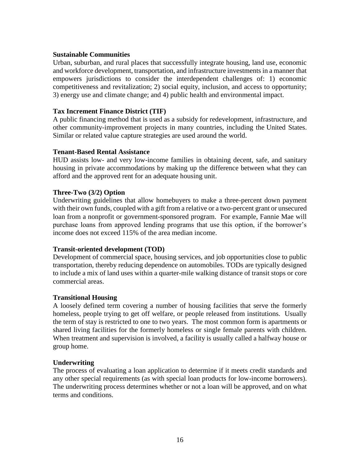# **Sustainable Communities**

Urban, suburban, and rural places that successfully integrate housing, land use, economic and workforce development, transportation, and infrastructure investments in a manner that empowers jurisdictions to consider the interdependent challenges of: 1) economic competitiveness and revitalization; 2) social equity, inclusion, and access to opportunity; 3) energy use and climate change; and 4) public health and environmental impact.

### **Tax Increment Finance District (TIF)**

A [public financing](https://en.wikipedia.org/wiki/Public_financing) method that is used as a [subsidy](https://en.wikipedia.org/wiki/Subsidy) for [redevelopment,](https://en.wikipedia.org/wiki/Redevelopment) infrastructure, and other community-improvement projects in many countries, including the [United States.](https://en.wikipedia.org/wiki/United_States) Similar or related [value capture](https://en.wikipedia.org/wiki/Value_capture) strategies are used around the world.

### **Tenant-Based Rental Assistance**

HUD assists low- and very low-income families in obtaining decent, safe, and sanitary housing in private accommodations by making up the difference between what they can afford and the approved rent for an adequate housing unit.

### **Three-Two (3/2) Option**

Underwriting guidelines that allow homebuyers to make a three-percent down payment with their own funds, coupled with a gift from a relative or a two-percent grant or unsecured loan from a nonprofit or government-sponsored program. For example, Fannie Mae will purchase loans from approved lending programs that use this option, if the borrower's income does not exceed 115% of the area median income.

# **Transit-oriented development (TOD)**

Development of commercial space, housing services, and job opportunities close to public transportation, thereby reducing dependence on automobiles. TODs are typically designed to include a mix of land uses within a quarter-mile walking distance of transit stops or core commercial areas.

# **Transitional Housing**

A loosely defined term covering a number of housing facilities that serve the formerly homeless, people trying to get off welfare, or people released from institutions. Usually the term of stay is restricted to one to two years. The most common form is apartments or shared living facilities for the formerly homeless or single female parents with children. When treatment and supervision is involved, a facility is usually called a halfway house or group home.

#### **Underwriting**

The process of evaluating a loan application to determine if it meets credit standards and any other special requirements (as with special loan products for low-income borrowers). The underwriting process determines whether or not a loan will be approved, and on what terms and conditions.